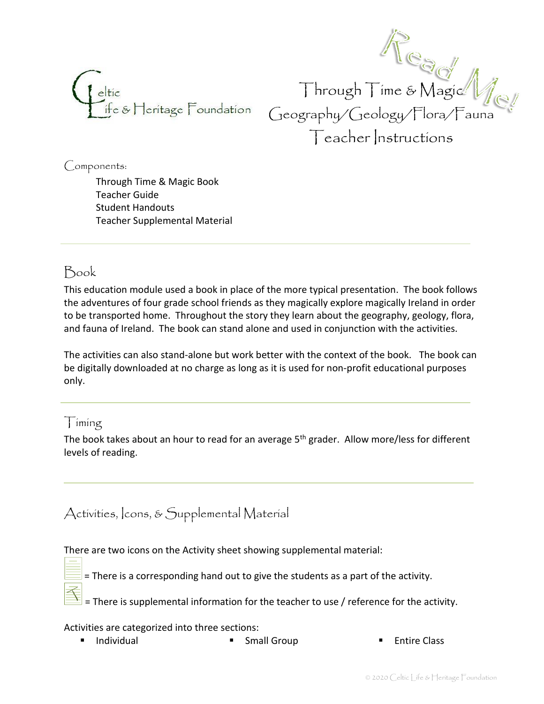

Through Time & Magic Geography/Geology/Flora/Fauna Teacher Instructions

Components:

Through Time & Magic Book Teacher Guide Student Handouts Teacher Supplemental Material

## Book

This education module used a book in place of the more typical presentation. The book follows the adventures of four grade school friends as they magically explore magically Ireland in order to be transported home. Throughout the story they learn about the geography, geology, flora, and fauna of Ireland. The book can stand alone and used in conjunction with the activities.

The activities can also stand-alone but work better with the context of the book. The book can be digitally downloaded at no charge as long as it is used for non-profit educational purposes only.

### Timing

The book takes about an hour to read for an average 5<sup>th</sup> grader. Allow more/less for different levels of reading.

## Activities, Icons, & Supplemental Material

There are two icons on the Activity sheet showing supplemental material:

= There is a corresponding hand out to give the students as a part of the activity.

= There is supplemental information for the teacher to use / reference for the activity.

#### Activities are categorized into three sections:

- Individual Small Group Entire Class
-